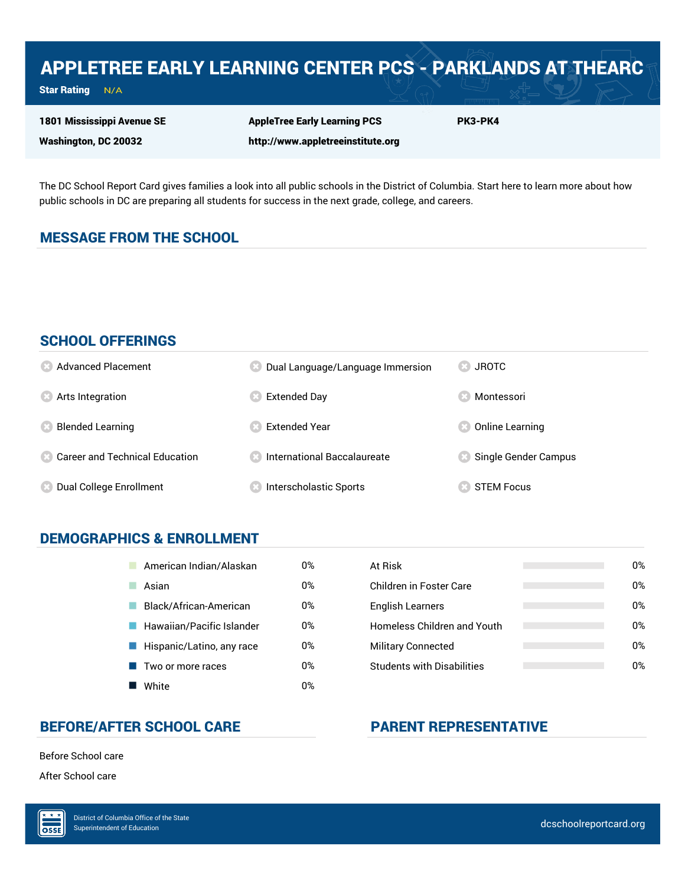# APPLETREE EARLY LEARNING CENTER PCS - PARKLANDS AT THEARC

Star Rating  $N/A$ 

1801 Mississippi Avenue SE

Washington, DC 20032

AppleTree Early Learning PCS http://www.appletreeinstitute.org PK3-PK4

The DC School Report Card gives families a look into all public schools in the District of Columbia. Start here to learn more about how public schools in DC are preparing all students for success in the next grade, college, and careers.

### MESSAGE FROM THE SCHOOL

#### SCHOOL OFFERINGS

| <b>8</b> Advanced Placement             | Dual Language/Language Immersion     | <b>83 JROTC</b>               |
|-----------------------------------------|--------------------------------------|-------------------------------|
| <b>8</b> Arts Integration               | <b>Extended Day</b>                  | Montessori                    |
| <b>Blended Learning</b><br>Œ            | <b>Extended Year</b>                 | Online Learning               |
| <b>8 Career and Technical Education</b> | <b>8</b> International Baccalaureate | <b>8</b> Single Gender Campus |
| Dual College Enrollment<br>(33)         | Interscholastic Sports               | <b>STEM Focus</b>             |

#### DEMOGRAPHICS & ENROLLMENT

| American Indian/Alaskan   | 0% | At Risk                            |
|---------------------------|----|------------------------------------|
| Asian                     | 0% | Children in Foster Care            |
| Black/African-American    | 0% | English Learners                   |
| Hawaiian/Pacific Islander | 0% | <b>Homeless Children and Youth</b> |
| Hispanic/Latino, any race | 0% | <b>Military Connected</b>          |
| Two or more races         | 0% | <b>Students with Disabilities</b>  |
| White                     | 0% |                                    |

| At Risk                           | 0% |
|-----------------------------------|----|
| Children in Foster Care           | በ% |
| <b>English Learners</b>           | 0% |
| Homeless Children and Youth       | 0% |
| <b>Military Connected</b>         | 0% |
| <b>Students with Disabilities</b> | 0% |

#### BEFORE/AFTER SCHOOL CARE PARENT REPRESENTATIVE

Before School care

After School care